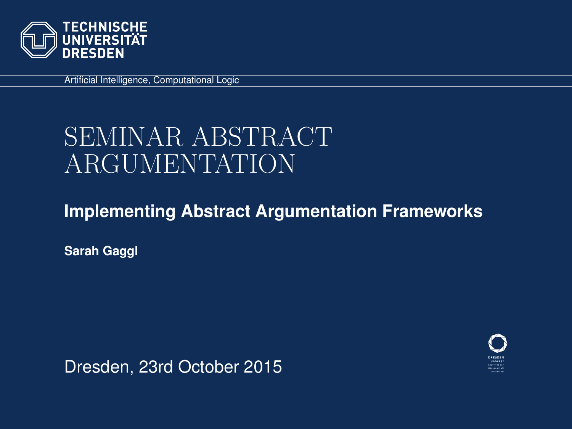

Artificial Intelligence, Computational Logic

# SEMINAR ABSTRACT ARGUMENTATION

#### **Implementing Abstract Argumentation Frameworks**

**Sarah Gaggl**

Dresden, 23rd October 2015

<span id="page-0-0"></span>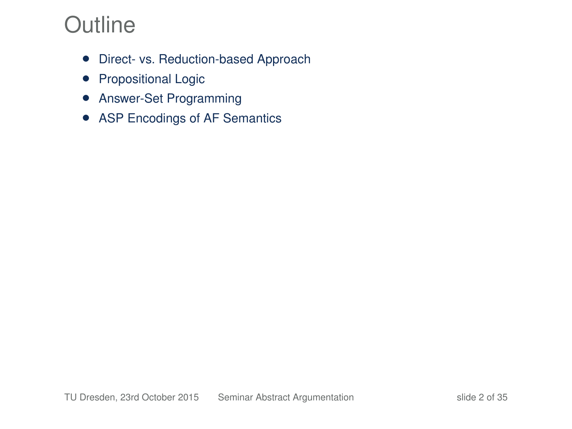## **Outline**

- Direct- vs. Reduction-based Approach
- Propositional Logic
- Answer-Set Programming
- ASP Encodings of AF Semantics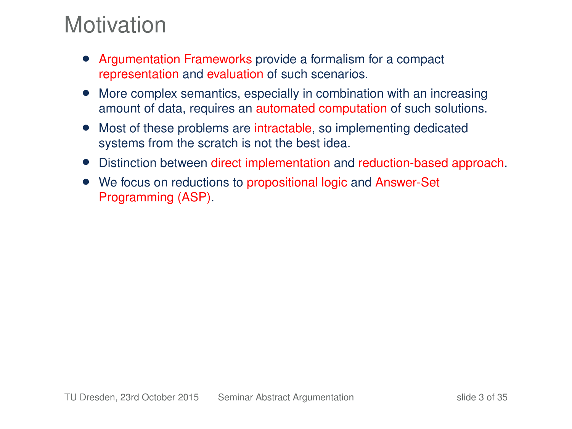## **Motivation**

- Argumentation Frameworks provide a formalism for a compact representation and evaluation of such scenarios.
- More complex semantics, especially in combination with an increasing amount of data, requires an automated computation of such solutions.
- Most of these problems are intractable, so implementing dedicated systems from the scratch is not the best idea.
- Distinction between direct implementation and reduction-based approach.
- We focus on reductions to propositional logic and Answer-Set Programming (ASP).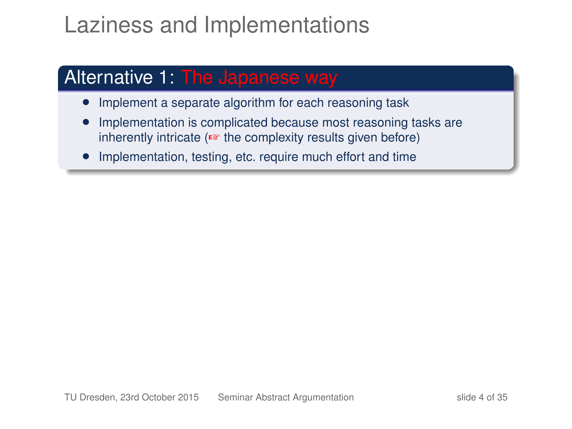## Laziness and Implementations

#### Alternative 1: The Japanese way

- Implement a separate algorithm for each reasoning task
- Implementation is complicated because most reasoning tasks are inherently intricate (☞ the complexity results given before)
- Implementation, testing, etc. require much effort and time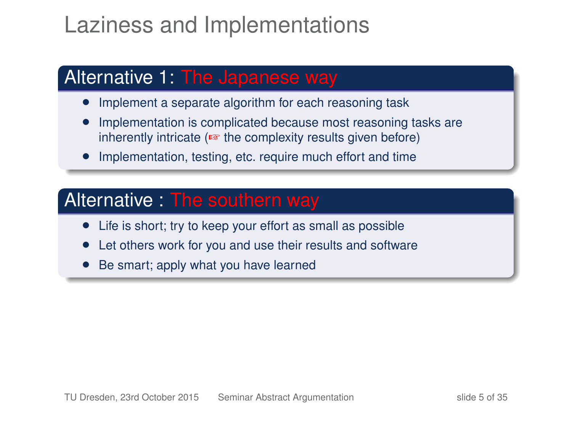## Laziness and Implementations

#### Alternative 1: The Japanese way

- Implement a separate algorithm for each reasoning task
- Implementation is complicated because most reasoning tasks are inherently intricate (☞ the complexity results given before)
- Implementation, testing, etc. require much effort and time

#### Alternative : The southern way

- Life is short; try to keep your effort as small as possible
- Let others work for you and use their results and software
- Be smart; apply what you have learned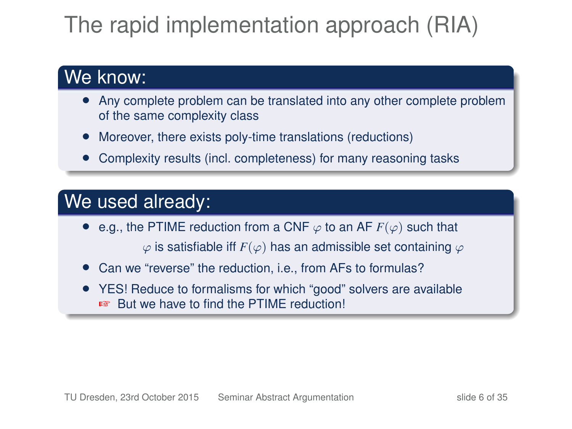# The rapid implementation approach (RIA)

#### We know:

- Any complete problem can be translated into any other complete problem of the same complexity class
- Moreover, there exists poly-time translations (reductions)
- Complexity results (incl. completeness) for many reasoning tasks

### We used already:

- e.g., the PTIME reduction from a CNF  $\varphi$  to an AF  $F(\varphi)$  such that  $\varphi$  is satisfiable iff  $F(\varphi)$  has an admissible set containing  $\varphi$
- Can we "reverse" the reduction, i.e., from AFs to formulas?
- YES! Reduce to formalisms for which "good" solvers are available ☞ But we have to find the PTIME reduction!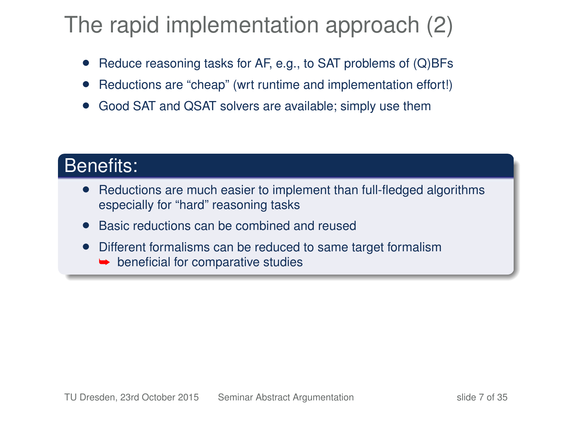## The rapid implementation approach (2)

- Reduce reasoning tasks for AF, e.g., to SAT problems of (Q)BFs
- Reductions are "cheap" (wrt runtime and implementation effort!)
- Good SAT and QSAT solvers are available; simply use them

#### Benefits:

- Reductions are much easier to implement than full-fledged algorithms especially for "hard" reasoning tasks
- Basic reductions can be combined and reused
- Different formalisms can be reduced to same target formalism
	- $\rightarrow$  beneficial for comparative studies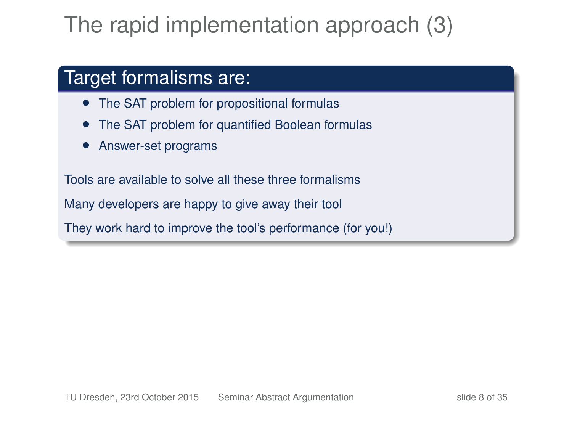# The rapid implementation approach (3)

### Target formalisms are:

- The SAT problem for propositional formulas
- The SAT problem for quantified Boolean formulas
- Answer-set programs

Tools are available to solve all these three formalisms Many developers are happy to give away their tool They work hard to improve the tool's performance (for you!)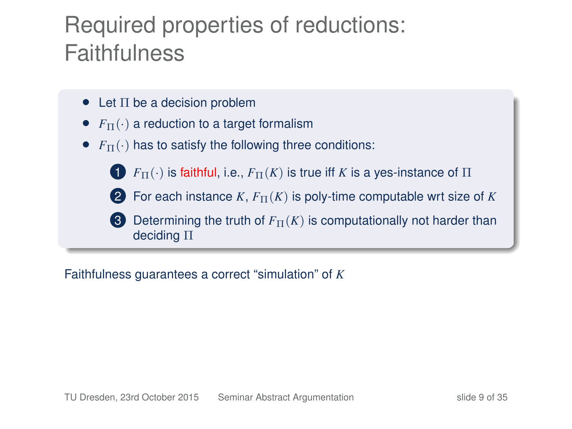## Required properties of reductions: **Faithfulness**

- $\bullet$  Let  $\Pi$  be a decision problem
- $F_{\Pi}(\cdot)$  a reduction to a target formalism
- $F_{\Pi}(\cdot)$  has to satisfy the following three conditions:
	- **1**  $F_{\Pi}(\cdot)$  is faithful, i.e.,  $F_{\Pi}(K)$  is true iff *K* is a yes-instance of  $\Pi$
	- **2** For each instance *K*,  $F_{\Pi}(K)$  is poly-time computable wrt size of *K*
	- **3** Determining the truth of  $F_{\Pi}(K)$  is computationally not harder than deciding Π

Faithfulness guarantees a correct "simulation" of *K*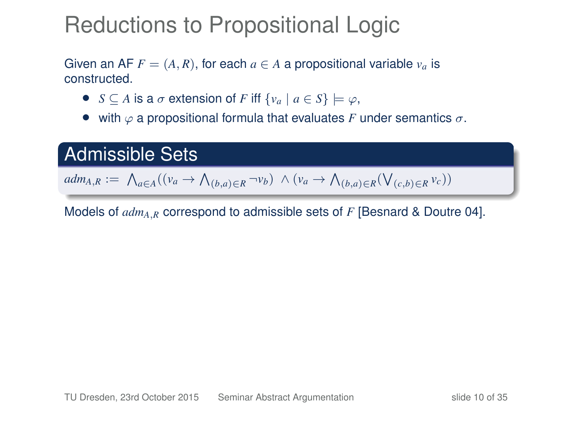## Reductions to Propositional Logic

Given an AF  $F = (A, R)$ , for each  $a \in A$  a propositional variable  $v_a$  is constructed.

- $S \subset A$  is a  $\sigma$  extension of *F* iff  $\{v_a \mid a \in S\} \models \varphi$ ,
- with  $\varphi$  a propositional formula that evaluates *F* under semantics  $\sigma$ .

#### Admissible Sets

 $adm_{A,R} := \bigwedge_{a \in A} ((v_a \rightarrow \bigwedge_{(b,a) \in R} \neg v_b) \land (v_a \rightarrow \bigwedge_{(b,a) \in R} (\bigvee_{(c,b) \in R} v_c))$ 

Models of *admA*,*<sup>R</sup>* correspond to admissible sets of *F* [Besnard & Doutre 04].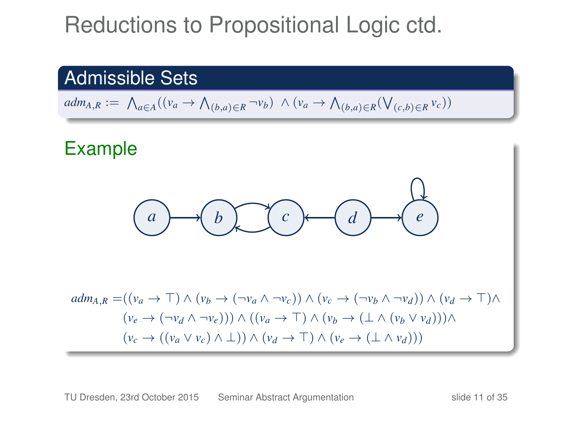## Reductions to Propositional Logic ctd.

#### Admissible Sets

 $adm_{A,R} := \bigwedge_{a \in A} ((v_a \rightarrow \bigwedge_{(b,a) \in R} \neg v_b) \land (v_a \rightarrow \bigwedge_{(b,a) \in R} (\bigvee_{(c,b) \in R} v_c))$ 

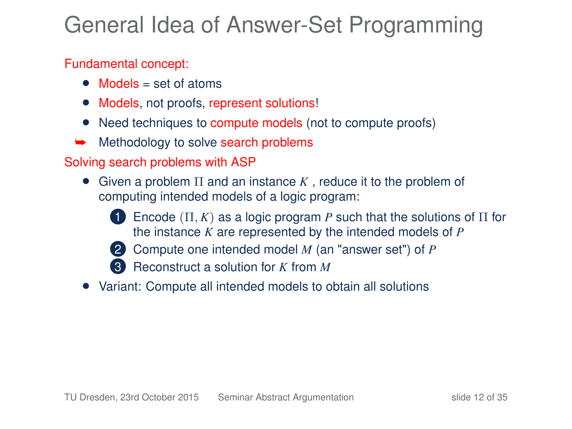## General Idea of Answer-Set Programming

#### Fundamental concept:

- Models = set of atoms
- Models, not proofs, represent solutions!
- Need techniques to compute models (not to compute proofs)
- Methodology to solve search problems

#### Solving search problems with ASP

- Given a problem Π and an instance *K* , reduce it to the problem of computing intended models of a logic program:
	-
	- **1** Encode  $(\Pi, K)$  as a logic program P such that the solutions of  $\Pi$  for the instance *K* are represented by the intended models of *P*



- 2 Compute one intended model *M* (an "answer set") of *P*
- 3 Reconstruct a solution for *K* from *M*
- Variant: Compute all intended models to obtain all solutions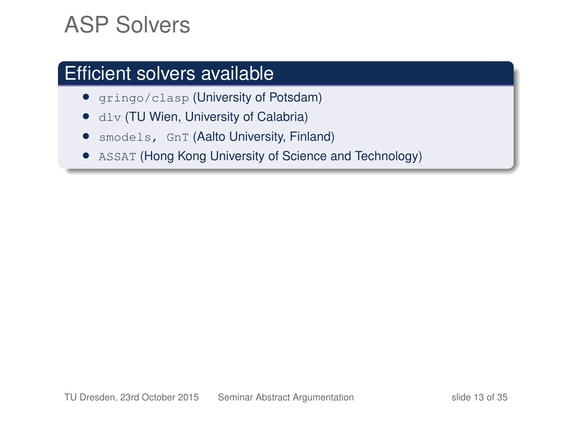## ASP Solvers

### Efficient solvers available

- gringo/clasp (University of Potsdam)
- dlv (TU Wien, University of Calabria)
- smodels, GnT (Aalto University, Finland)
- ASSAT (Hong Kong University of Science and Technology)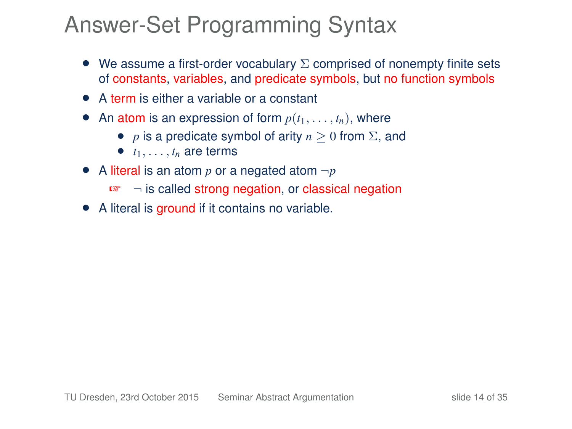## Answer-Set Programming Syntax

- We assume a first-order vocabulary  $\Sigma$  comprised of nonempty finite sets of constants, variables, and predicate symbols, but no function symbols
- A term is either a variable or a constant
- An atom is an expression of form  $p(t_1, \ldots, t_n)$ , where
	- *p* is a predicate symbol of arity  $n > 0$  from  $\Sigma$ , and
	- $\bullet$   $t_1, \ldots, t_n$  are terms
- A literal is an atom  $p$  or a negated atom  $\neg p$ 
	- ☞ ¬ is called strong negation, or classical negation
- A literal is ground if it contains no variable.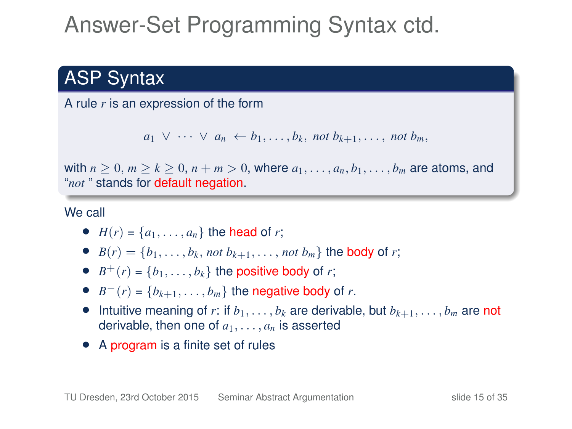# Answer-Set Programming Syntax ctd.

## ASP Syntax

A rule *r* is an expression of the form

$$
a_1 \vee \cdots \vee a_n \leftarrow b_1, \ldots, b_k
$$
, not  $b_{k+1}, \ldots$ , not  $b_m$ ,

with  $n \geq 0$ ,  $m \geq k \geq 0$ ,  $n+m > 0$ , where  $a_1, \ldots, a_n, b_1, \ldots, b_m$  are atoms, and "*not* " stands for default negation.

We call

- $H(r) = \{a_1, \ldots, a_n\}$  the head of *r*;
- $B(r) = \{b_1, \ldots, b_k, \text{not } b_{k+1}, \ldots, \text{not } b_m\}$  the body of *r*;
- $B^+(r) = \{b_1, \ldots, b_k\}$  the positive body of *r*;
- $B^{-}(r) = \{b_{k+1}, \ldots, b_m\}$  the negative body of *r*.
- Intuitive meaning of *r*: if  $b_1, \ldots, b_k$  are derivable, but  $b_{k+1}, \ldots, b_m$  are not derivable, then one of  $a_1, \ldots, a_n$  is asserted
- A program is a finite set of rules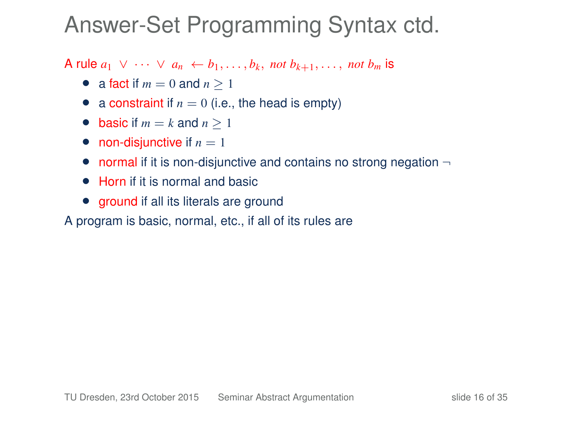## Answer-Set Programming Syntax ctd.

A rule  $a_1 \vee \cdots \vee a_n \leftarrow b_1, \ldots, b_k$ , not  $b_{k+1}, \ldots$ , not  $b_m$  is

- a fact if  $m = 0$  and  $n \ge 1$
- a constraint if  $n = 0$  (i.e., the head is empty)
- basic if  $m = k$  and  $n \ge 1$
- non-disjunctive if  $n = 1$
- normal if it is non-disjunctive and contains no strong negation  $\neg$
- Horn if it is normal and basic
- ground if all its literals are ground
- A program is basic, normal, etc., if all of its rules are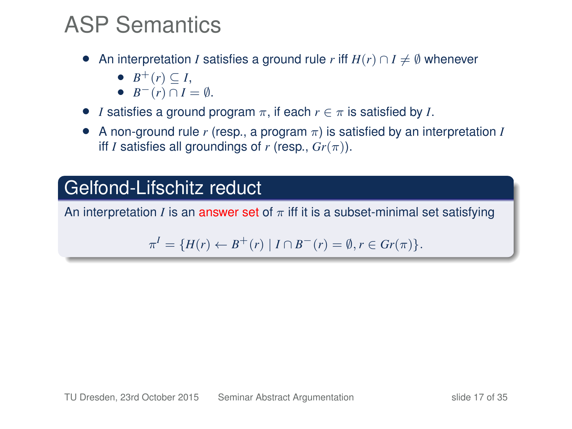## ASP Semantics

- An interpretation *I* satisfies a ground rule *r* iff  $H(r) \cap I \neq \emptyset$  whenever
	- $\bullet$  *B*<sup>+</sup>(*r*) ⊆ *I*,
	- $\bullet$  *B*<sup>−</sup>(*r*) ∩ *I* =  $\emptyset$ .
- *I* satisfies a ground program  $\pi$ , if each  $r \in \pi$  is satisfied by *I*.
- A non-ground rule *r* (resp., a program π) is satisfied by an interpretation *I* iff *I* satisfies all groundings of *r* (resp.,  $Gr(\pi)$ ).

### Gelfond-Lifschitz reduct

An interpretation *I* is an answer set of  $\pi$  iff it is a subset-minimal set satisfying

$$
\pi^I = \{ H(r) \leftarrow B^+(r) \mid I \cap B^-(r) = \emptyset, r \in Gr(\pi) \}.
$$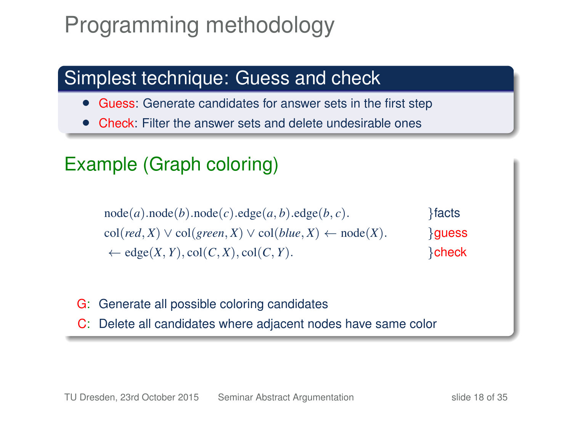## Programming methodology

## Simplest technique: Guess and check

- Guess: Generate candidates for answer sets in the first step
- Check: Filter the answer sets and delete undesirable ones

## Example (Graph coloring)

 $node(a).node(b).node(c).edge(a,b).edge(b,c).$  }facts  $col(\text{red}, X) \vee col(\text{green}, X) \vee col(\text{blue}, X) \leftarrow node(X).$  }**quess**  $\leftarrow$  edge $(X, Y)$ , col $(C, X)$ , col $(C, Y)$ .

- G: Generate all possible coloring candidates
- C: Delete all candidates where adjacent nodes have same color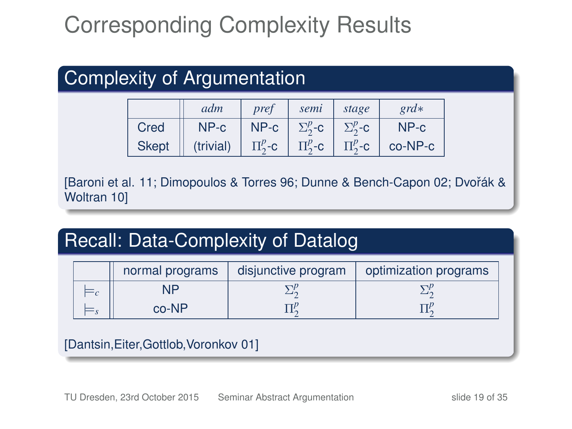# Corresponding Complexity Results

| Complexity of Argumentation |              |           |              |                 |                   |         |  |  |  |  |
|-----------------------------|--------------|-----------|--------------|-----------------|-------------------|---------|--|--|--|--|
|                             |              | adm       | pref         | semi            | stage             | $grd*$  |  |  |  |  |
|                             | Cred         | NP-c      | $NP-c$       | $\Sigma^p_2$ -C | $\Sigma^p_{2}$ -C | $NP-c$  |  |  |  |  |
|                             | <b>Skept</b> | (trivial) | $\Pi_2^p$ -c | $\Pi^p_2$ -C    | $\Pi^p_{2}$ -c    | co-NP-c |  |  |  |  |

[Baroni et al. 11; Dimopoulos & Torres 96; Dunne & Bench-Capon 02; Dvoˇrák & Woltran 10]

## Recall: Data-Complexity of Datalog

| normal programs | disjunctive program | optimization programs |
|-----------------|---------------------|-----------------------|
| NID             |                     |                       |
| $co-NP$         |                     |                       |

#### [Dantsin,Eiter,Gottlob,Voronkov 01]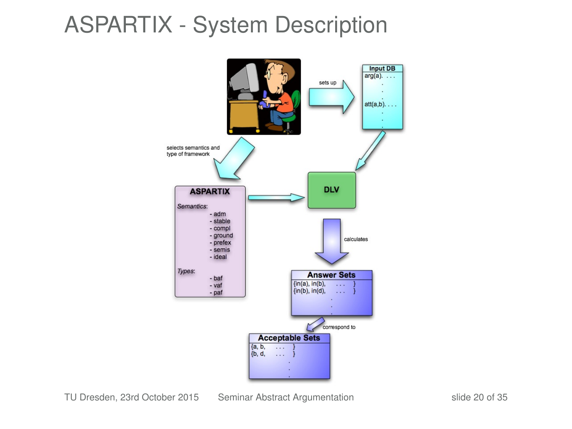## ASPARTIX - System Description



TU Dresden, 23rd October 2015 [Seminar Abstract Argumentation](#page-0-0) slide 20 of 35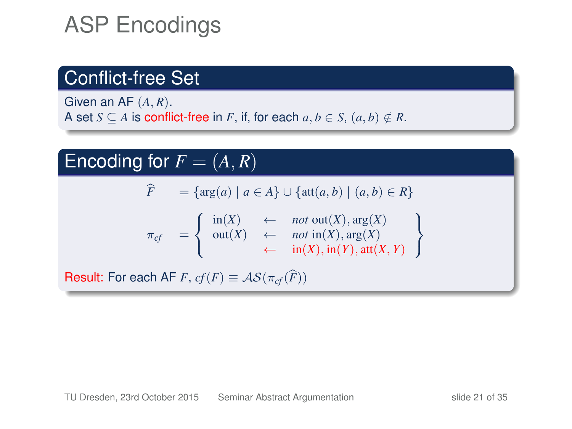# ASP Encodings

### Conflict-free Set

Given an AF (*A*, *R*). A set *S*  $\subseteq$  *A* is conflict-free in *F*, if, for each  $a, b \in S$ ,  $(a, b) \notin R$ .

#### Encoding for  $F = (A, R)$  $\hat{F} = {\arg(a) | a \in A} \cup {\text{att}(a, b) | (a, b) \in R}$  $\pi_{cf}$  =  $\int$  $\mathcal{L}$ in(*X*) ← *not* out(*X*), arg(*X*) out(*X*) ← *not* in(*X*), arg(*X*) ←  $in(X), in(Y), att(X, Y)$  $\mathcal{L}$ J Result: For each AF *F*,  $cf(F) \equiv AS(\pi_{cf}(\widehat{F}))$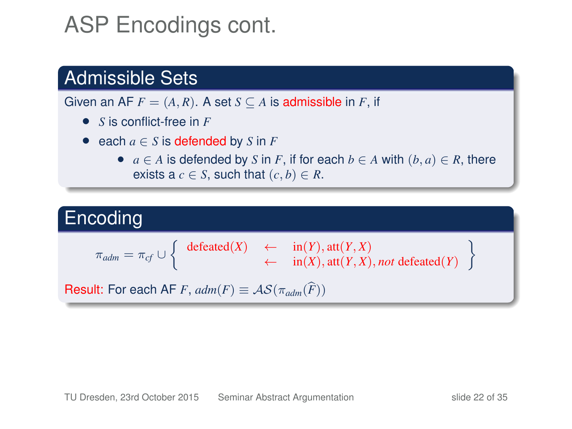## ASP Encodings cont.

### Admissible Sets

Given an AF  $F = (A, R)$ . A set  $S \subseteq A$  is admissible in F, if

- *S* is conflict-free in *F*
- each  $a \in S$  is defended by  $S$  in  $F$ 
	- $a \in A$  is defended by *S* in *F*, if for each  $b \in A$  with  $(b, a) \in R$ , there exists a  $c \in S$ , such that  $(c, b) \in R$ .

### **Encoding**

$$
\pi_{adm} = \pi_{cf} \cup \left\{ \begin{array}{ccc} \text{defeated}(X) & \leftarrow & \text{in}(Y), \text{att}(Y, X) \\ \leftarrow & \text{in}(X), \text{att}(Y, X), \text{not defeated}(Y) \end{array} \right\}
$$

Result: For each AF *F*,  $adm(F) \equiv AS(\pi_{adm}(\widehat{F}))$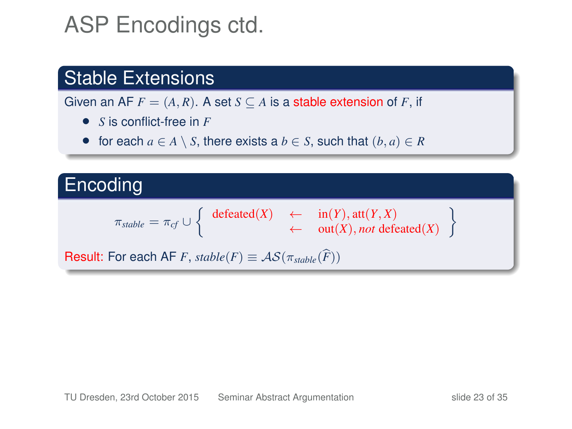## ASP Encodings ctd.

### Stable Extensions

Given an AF  $F = (A, R)$ . A set  $S \subseteq A$  is a stable extension of F, if

- *S* is conflict-free in *F*
- for each  $a \in A \setminus S$ , there exists a  $b \in S$ , such that  $(b, a) \in R$

### **Encoding**

$$
\pi_{stable} = \pi_{cf} \cup \left\{ \begin{array}{ccc} \text{defeated}(X) & \leftarrow & \text{in}(Y), \text{att}(Y, X) \\ \leftarrow & \text{out}(X), \text{not defeated}(X) \end{array} \right.
$$

Result: For each AF *F*,  $stable(F) \equiv AS(\pi_{stable}(\widehat{F}))$ 

<u>)</u>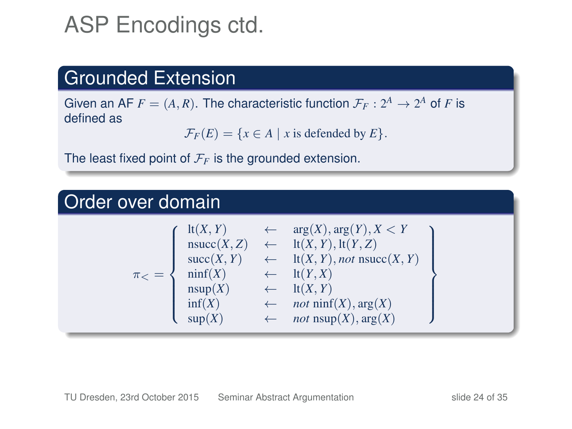## ASP Encodings ctd.

### Grounded Extension

Given an AF  $F = (A, R)$ . The characteristic function  $\mathcal{F}_F : 2^A \to 2^A$  of F is defined as

 $\mathcal{F}_F(E) = \{x \in A \mid x \text{ is defined by } E\}.$ 

The least fixed point of  $\mathcal{F}_F$  is the grounded extension.

### Order over domain

|         | lt(X, Y)                    | $\leftarrow \arg(X), \arg(Y), X < Y$    |  |
|---------|-----------------------------|-----------------------------------------|--|
|         | nsucc(X, Z)<br>$\leftarrow$ | $lt(X, Y), \text{lt}(Y, Z)$             |  |
|         | succ(X, Y)                  | $\leftarrow$ lt(X, Y), not nsucc(X, Y)  |  |
| $\pi$ = | $\text{nnf}(X)$             | $\leftarrow$ lt(Y,X)                    |  |
|         | nsup(X)                     | lt(X, Y)                                |  |
| inf(X)  |                             | $\leftarrow$ <i>not</i> ninf(X), arg(X) |  |
|         | $\text{sup}(X)$             | $\leftarrow$ <i>not</i> nsup(X), arg(X) |  |
|         |                             |                                         |  |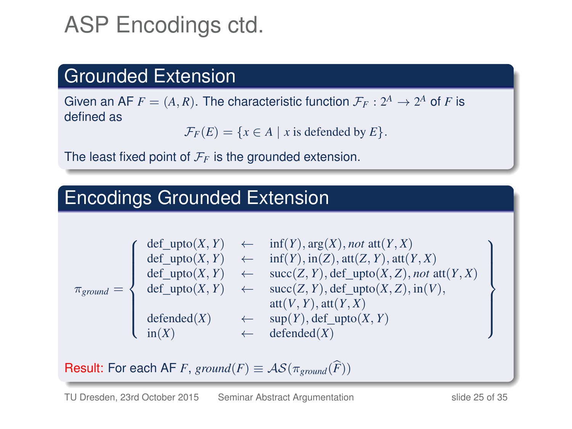# ASP Encodings ctd.

### Grounded Extension

Given an AF  $F = (A, R)$ . The characteristic function  $\mathcal{F}_F : 2^A \to 2^A$  of F is defined as

 $\mathcal{F}_F(E) = \{x \in A \mid x \text{ is defined by } E\}.$ 

The least fixed point of  $\mathcal{F}_F$  is the grounded extension.

### Encodings Grounded Extension

$$
\pi_{ground} = \left\{ \begin{array}{cll} \det\_upto(X,Y) & \leftarrow & \inf(Y), \arg(X), not \; \text{att}(Y,X) \\ \det\_upto(X,Y) & \leftarrow & \inf(Y), \inf(Z), \text{att}(Z,Y), \text{att}(Y,X) \\ \det\_upto(X,Y) & \leftarrow & \text{succ}(Z,Y), \det\_upto(X,Z), not \; \text{att}(Y,X) \\ \det\_upto(X,Y) & \leftarrow & \text{succ}(Z,Y), \det\_upto(X,Z), \text{in}(V), \\ & \text{att}(V,Y), \text{att}(Y,X) \\ \det \text{ended}(X) & \leftarrow & \text{sup}(Y), \det\_upto(X,Y) \\ \text{in}(X) & \leftarrow & \text{defended}(X) \end{array} \right.
$$

Result: For each AF *F*, *ground*(*F*)  $\equiv \mathcal{AS}(\pi_{ground}(\widehat{F}))$ 

 $\mathcal{L}$  $\overline{\mathcal{L}}$ 

 $\int$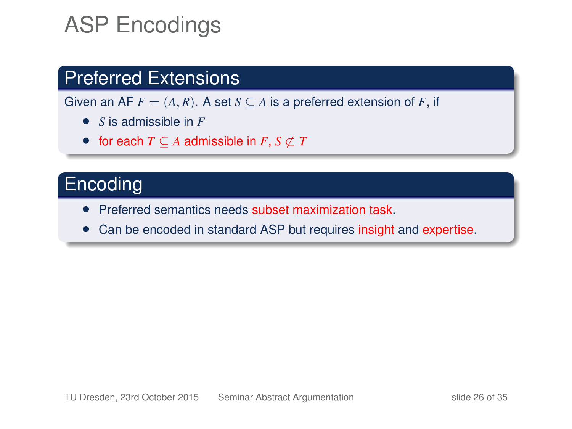# ASP Encodings

### Preferred Extensions

Given an AF  $F = (A, R)$ . A set  $S \subseteq A$  is a preferred extension of F, if

- *S* is admissible in *F*
- for each  $T \subseteq A$  admissible in  $F, S \not\subset T$

### **Encoding**

- Preferred semantics needs subset maximization task.
- Can be encoded in standard ASP but requires insight and expertise.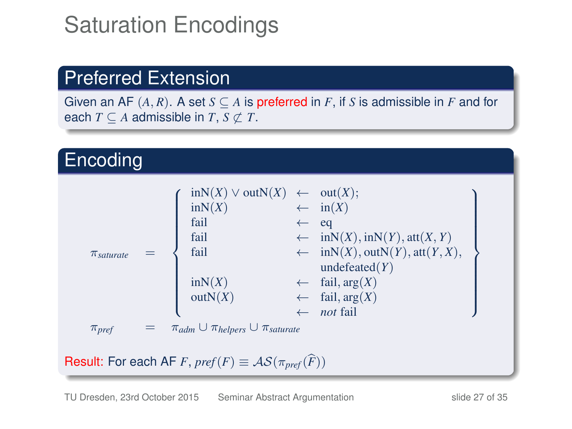# Saturation Encodings

### Preferred Extension

Given an AF  $(A, R)$ . A set  $S \subseteq A$  is preferred in *F*, if *S* is admissible in *F* and for each  $T \subseteq A$  admissible in  $T$ ,  $S \nsubseteq T$ .

#### Encoding π*saturate* =  $\sqrt{ }$  $\bigcup$  $\overline{\phantom{a}}$ inN(*X*) ∨ outN(*X*) ← out(*X*);  $inN(X)$  ←  $in(X)$ fail  $\leftarrow$  eq fail ←  $inN(X), inN(Y), att(X, Y)$ <br>fail ←  $inN(X), outN(Y), att(Y, X)$  $\leftarrow$  inN(*X*), outN(*Y*), att(*Y*, *X*), undefeated(*Y*)  $inN(X)$  ← fail,  $arg(X)$  $outN(X)$  ← fail,  $arg(X)$ ← *not* fail  $\mathcal{L}$  $\overline{\phantom{a}}$  $\begin{array}{c} \hline \end{array}$  $\pi_{\text{pref}}$  =  $\pi_{\text{adm}} \cup \pi_{\text{helpers}} \cup \pi_{\text{saturate}}$ **Result:** For each AF *F*,  $pref(F) \equiv AS(\pi_{pref}(\widehat{F}))$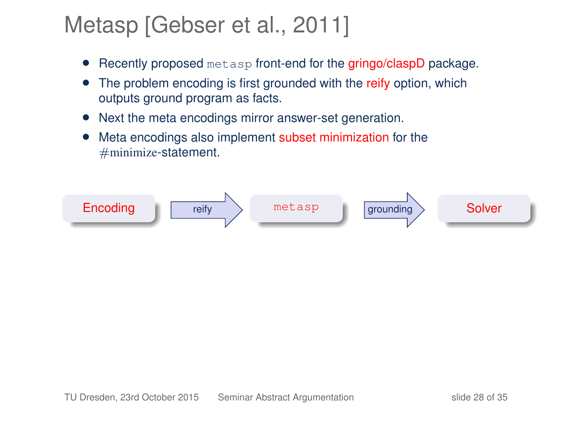## Metasp [\[Gebser et al., 2011\]](#page-32-0)

- Recently proposed metasp front-end for the gringo/claspD package.
- The problem encoding is first grounded with the reify option, which outputs ground program as facts.
- Next the meta encodings mirror answer-set generation.
- Meta encodings also implement subset minimization for the  $#$ minimize-statement.

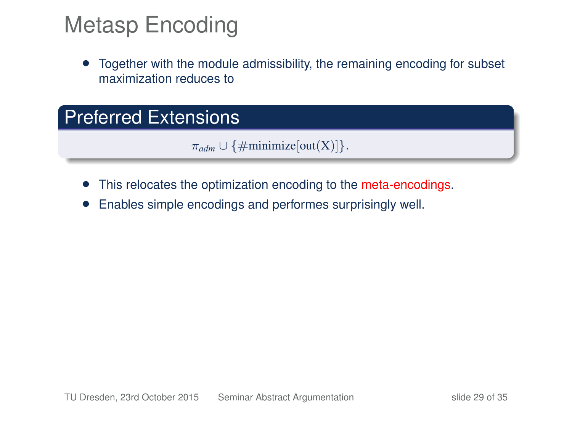## Metasp Encoding

• Together with the module admissibility, the remaining encoding for subset maximization reduces to

### Preferred Extensions

 $\pi_{adm} \cup \{\#\text{minimize}[\text{out}(X)]\}.$ 

- This relocates the optimization encoding to the meta-encodings.
- Enables simple encodings and performes surprisingly well.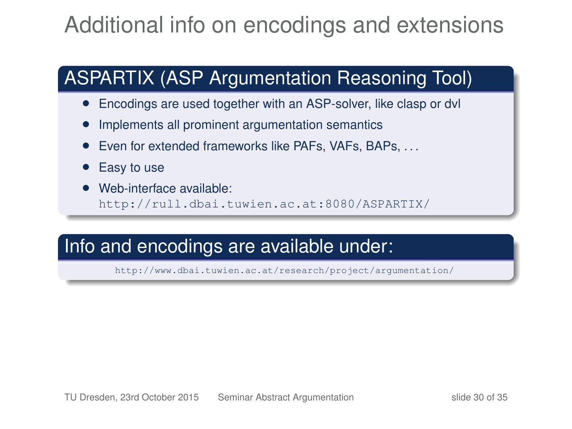## Additional info on encodings and extensions

## ASPARTIX (ASP Argumentation Reasoning Tool)

- Encodings are used together with an ASP-solver, like clasp or dvl
- Implements all prominent argumentation semantics
- Even for extended frameworks like PAFs, VAFs, BAPs, ...
- Easy to use
- Web-interface available: <http://rull.dbai.tuwien.ac.at:8080/ASPARTIX/>

### Info and encodings are available under:

<http://www.dbai.tuwien.ac.at/research/project/argumentation/>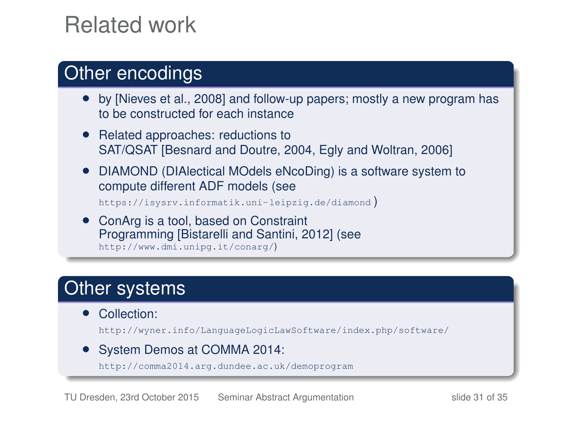## Related work

#### Other encodings

- by [\[Nieves et al., 2008\]](#page-32-1) and follow-up papers; mostly a new program has to be constructed for each instance
- Related approaches: reductions to SAT/QSAT [\[Besnard and Doutre, 2004,](#page-32-2) [Egly and Woltran, 2006\]](#page-32-3)
- DIAMOND (DIAlectical MOdels eNcoDing) is a software system to compute different ADF models (see

<https://isysrv.informatik.uni-leipzig.de/diamond> )

• ConArg is a tool, based on Constraint Programming [\[Bistarelli and Santini, 2012\]](#page-32-4) (see <http://www.dmi.unipg.it/conarg/>)

### Other systems

• Collection:

<http://wyner.info/LanguageLogicLawSoftware/index.php/software/>

• System Demos at COMMA 2014:

<http://comma2014.arg.dundee.ac.uk/demoprogram>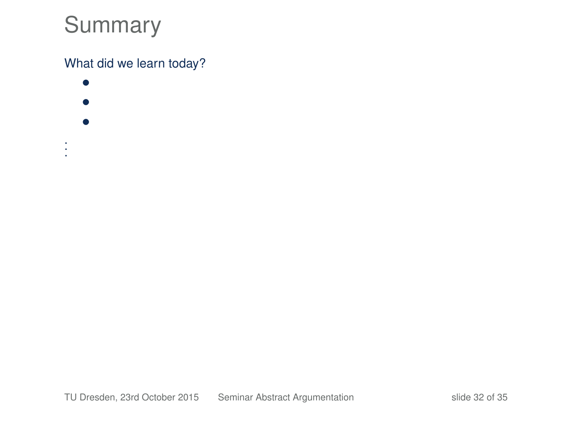## Summary

#### What did we learn today?

- • •
- 
- . . .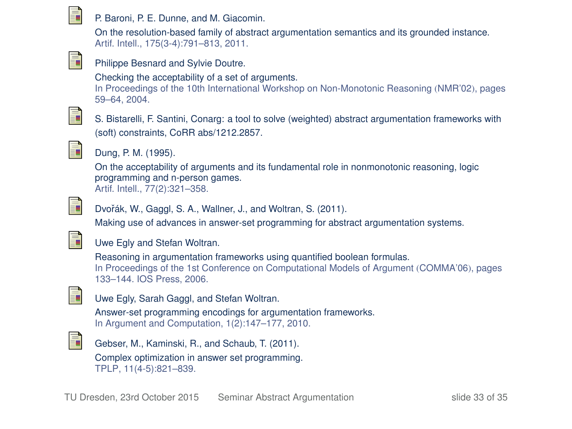

#### P. Baroni, P. E. Dunne, and M. Giacomin.

On the resolution-based family of abstract argumentation semantics and its grounded instance. Artif. Intell., 175(3-4):791–813, 2011.

<span id="page-32-2"></span>

#### Philippe Besnard and Sylvie Doutre.

Checking the acceptability of a set of arguments.

In Proceedings of the 10th International Workshop on Non-Monotonic Reasoning (NMR'02), pages 59–64, 2004.

<span id="page-32-4"></span>

S. Bistarelli, F. Santini, Conarg: a tool to solve (weighted) abstract argumentation frameworks with (soft) constraints, CoRR abs/1212.2857.



#### Dung, P. M. (1995).

On the acceptability of arguments and its fundamental role in nonmonotonic reasoning, logic programming and n-person games. Artif. Intell., 77(2):321–358.



Dvořák, W., Gaggl, S. A., Wallner, J., and Woltran, S. (2011).

Making use of advances in answer-set programming for abstract argumentation systems.

<span id="page-32-3"></span>

#### Uwe Egly and Stefan Woltran.

Reasoning in argumentation frameworks using quantified boolean formulas. In Proceedings of the 1st Conference on Computational Models of Argument (COMMA'06), pages 133–144. IOS Press, 2006.

Uwe Egly, Sarah Gaggl, and Stefan Woltran.

Answer-set programming encodings for argumentation frameworks. In Argument and Computation, 1(2):147–177, 2010.

<span id="page-32-1"></span><span id="page-32-0"></span>

F

Gebser, M., Kaminski, R., and Schaub, T. (2011). Complex optimization in answer set programming. TPLP, 11(4-5):821–839.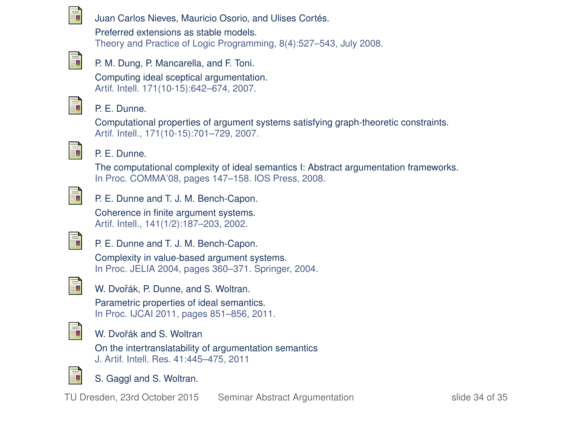

Juan Carlos Nieves, Mauricio Osorio, and Ulises Cortés.

Preferred extensions as stable models. Theory and Practice of Logic Programming, 8(4):527–543, July 2008.



P. M. Dung, P. Mancarella, and F. Toni.

Computing ideal sceptical argumentation. Artif. Intell. 171(10-15):642–674, 2007.



#### P. E. Dunne.

Computational properties of argument systems satisfying graph-theoretic constraints. Artif. Intell., 171(10-15):701–729, 2007.



#### P. E. Dunne.

The computational complexity of ideal semantics I: Abstract argumentation frameworks. In Proc. COMMA'08, pages 147–158. IOS Press, 2008.



P. E. Dunne and T. J. M. Bench-Capon.

Coherence in finite argument systems. Artif. Intell., 141(1/2):187–203, 2002.



P. E. Dunne and T. J. M. Bench-Capon.

Complexity in value-based argument systems. In Proc. JELIA 2004, pages 360–371. Springer, 2004.



W. Dvořák, P. Dunne, and S. Woltran.

Parametric properties of ideal semantics. In Proc. IJCAI 2011, pages 851–856, 2011.



#### W. Dvořák and S. Woltran

On the intertranslatability of argumentation semantics J. Artif. Intell. Res. 41:445–475, 2011



S. Gaggl and S. Woltran.